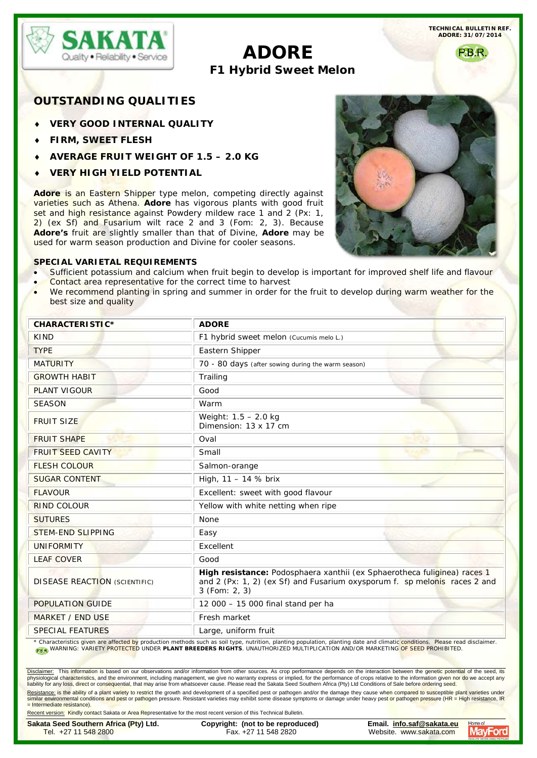

**TECHNICAL BULLETIN REF. ADORE: 31/07/2014**

# **ADORE F1 Hybrid Sweet Melon**

P.B.R.

# **OUTSTANDING QUALITIES**

- **VERY GOOD INTERNAL QUALITY**
- ♦ **FIRM, SWEET FLESH**
- ♦ **AVERAGE FRUIT WEIGHT OF 1.5 – 2.0 KG**
- ♦ **VERY HIGH YIELD POTENTIAL**

Adore is an Eastern Shipper type melon, competing directly against varieties such as Athena. **Adore** has vigorous plants with good fruit set and high resistance against Powdery mildew race 1 and 2 (Px: 1, 2) (ex Sf) and Fusarium wilt race 2 and 3 (Fom: 2, 3). Because **Adore's** fruit are slightly smaller than that of Divine, **Adore** may be used for warm season production and Divine for cooler seasons.

## **SPECIAL VARIETAL REQUIREMENTS**

- Sufficient potassium and calcium when fruit begin to develop is important for improved shelf life and flavour
- Contact area representative for the correct time to harvest
- We recommend planting in spring and summer in order for the fruit to develop during warm weather for the best size and quality

| CHARACTERISTIC*                      | <b>ADORE</b>                                                                                                                                                           |
|--------------------------------------|------------------------------------------------------------------------------------------------------------------------------------------------------------------------|
| <b>KIND</b>                          | F1 hybrid sweet melon (Cucumis melo L.)                                                                                                                                |
| <b>TYPE</b>                          | Eastern Shipper                                                                                                                                                        |
| <b>MATURITY</b>                      | 70 - 80 days (after sowing during the warm season)                                                                                                                     |
| <b>GROWTH HABIT</b>                  | Trailing                                                                                                                                                               |
| <b>PLANT VIGOUR</b>                  | Good                                                                                                                                                                   |
| <b>SEASON</b>                        | Warm                                                                                                                                                                   |
| <b>FRUIT SIZE</b>                    | Weight: $1.5 - 2.0$ kg<br>Dimension: 13 x 17 cm                                                                                                                        |
| <b>FRUIT SHAPE</b>                   | Oval                                                                                                                                                                   |
| <b>FRUIT SEED CAVITY</b>             | <b>Johnson</b><br>Small                                                                                                                                                |
| <b>FLESH COLOUR</b>                  | Salmon-orange                                                                                                                                                          |
| <b>SUGAR CONTENT</b>                 | High, 11 - 14 % brix                                                                                                                                                   |
| <b>FLAVOUR</b>                       | Excellent: sweet with good flavour                                                                                                                                     |
| <b>RIND COLOUR</b>                   | Yellow with white netting when ripe                                                                                                                                    |
| <b>SUTURES</b>                       | None                                                                                                                                                                   |
| <b>STEM-END SLIPPING</b>             | Easy                                                                                                                                                                   |
| <b>UNIFORMITY</b>                    | Excellent                                                                                                                                                              |
| <b>LEAF COVER</b>                    | Good                                                                                                                                                                   |
| <b>DISEASE REACTION (SCIENTIFIC)</b> | High resistance: Podosphaera xanthii (ex Sphaerotheca fuliginea) races 1<br>and 2 (Px: 1, 2) (ex Sf) and Fusarium oxysporum f. sp melonis races 2 and<br>3 (Fom: 2, 3) |
| <b>POPULATION GUIDE</b>              | 12 000 - 15 000 final stand per ha                                                                                                                                     |
| <b>MARKET / END USE</b>              | Fresh market                                                                                                                                                           |
| <b>SPECIAL FEATURES</b>              | Large, uniform fruit                                                                                                                                                   |

Characteristics given are affected by production methods such as soil type, nutrition, planting population, planting date and climatic conditions. Please read disclaimer. WARNING: VARIETY PROTECTED UNDER **PLANT BREEDERS RIGHTS**. UNAUTHORIZED MULTIPLICATION AND/OR MARKETING OF SEED PROHIBITED.

<u>Disclaimer</u>: This information is based on our observations and/or information from other sources. As crop performance depends on the interaction between the genetic potential of the seed, its<br>physiological characteristics

<u>Resistance:</u> is the ability of a plant variety to restrict the growth and development of a specified pest or pathogen and/or the damage they cause when compared to susceptible plant varieties under<br>similar environmental c = Intermediate resistance).

Recent version: Kindly contact Sakata or Area Representative for the most recent version of this Technical Bulletin.

Tel. +27 11 548 2800 Fax. +27 11 548 2820 Website. [www.sakata.com](mailto:tech@mayford.co.za)